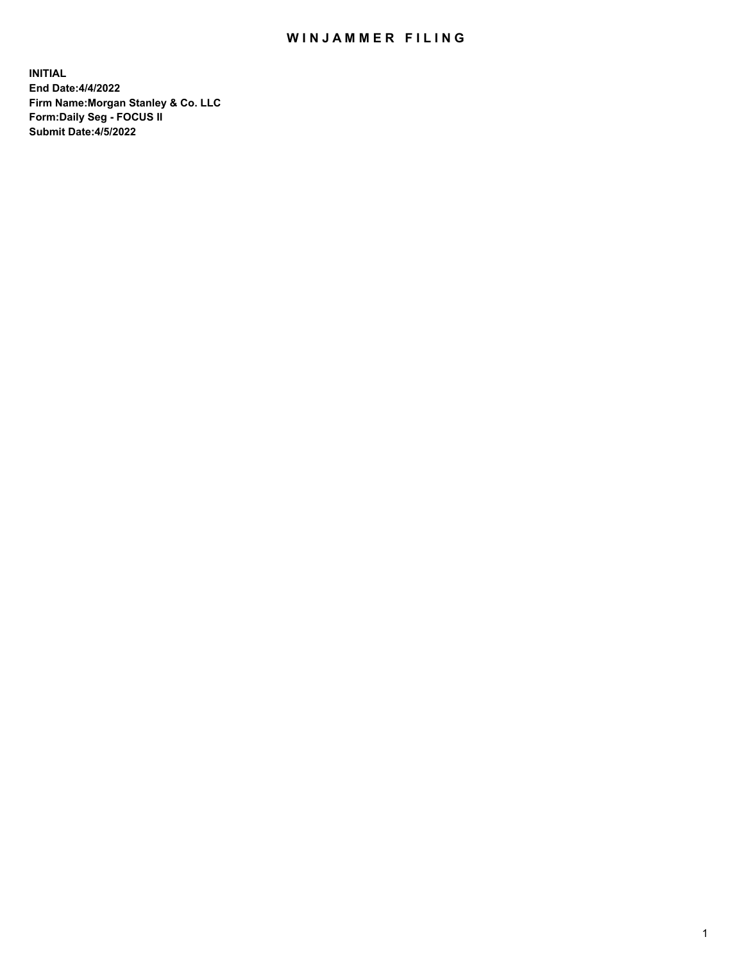## WIN JAMMER FILING

**INITIAL End Date:4/4/2022 Firm Name:Morgan Stanley & Co. LLC Form:Daily Seg - FOCUS II Submit Date:4/5/2022**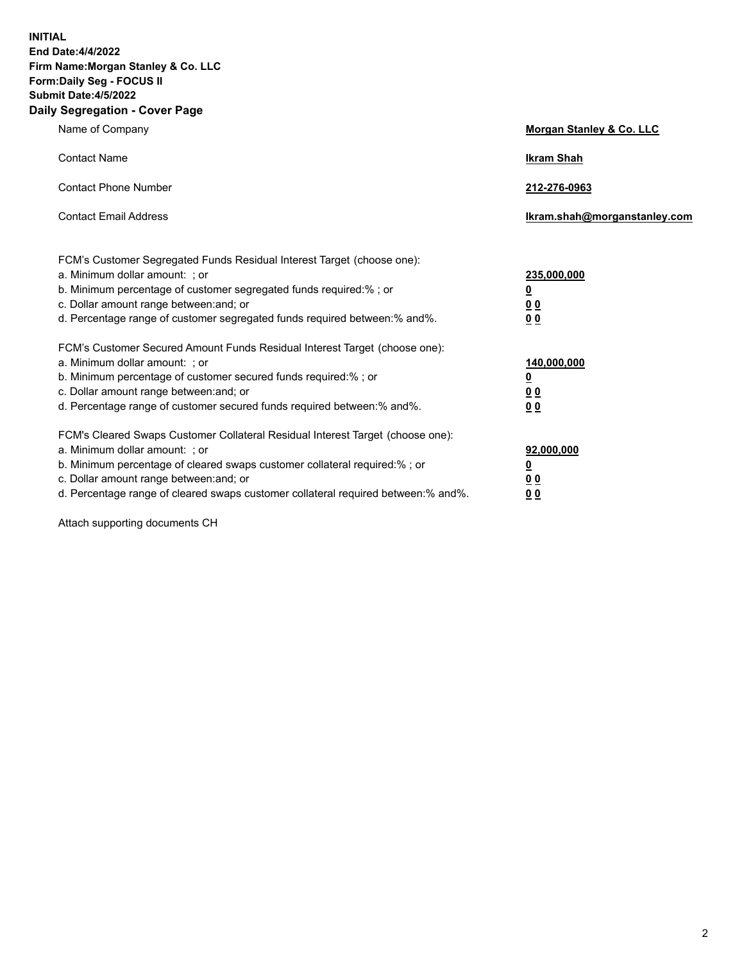**INITIAL End Date:4/4/2022 Firm Name:Morgan Stanley & Co. LLC Form:Daily Seg - FOCUS II Submit Date:4/5/2022 Daily Segregation - Cover Page**

| Name of Company                                                                                                                                                                                                                                                                                                               | Morgan Stanley & Co. LLC                                                     |
|-------------------------------------------------------------------------------------------------------------------------------------------------------------------------------------------------------------------------------------------------------------------------------------------------------------------------------|------------------------------------------------------------------------------|
| <b>Contact Name</b>                                                                                                                                                                                                                                                                                                           | <b>Ikram Shah</b>                                                            |
| <b>Contact Phone Number</b>                                                                                                                                                                                                                                                                                                   | 212-276-0963                                                                 |
| <b>Contact Email Address</b>                                                                                                                                                                                                                                                                                                  | Ikram.shah@morganstanley.com                                                 |
| FCM's Customer Segregated Funds Residual Interest Target (choose one):<br>a. Minimum dollar amount: ; or<br>b. Minimum percentage of customer segregated funds required:% ; or<br>c. Dollar amount range between: and; or<br>d. Percentage range of customer segregated funds required between: % and %.                      | 235,000,000<br><u>0</u><br><u>00</u><br>0 Q                                  |
| FCM's Customer Secured Amount Funds Residual Interest Target (choose one):<br>a. Minimum dollar amount: ; or<br>b. Minimum percentage of customer secured funds required:%; or<br>c. Dollar amount range between: and; or<br>d. Percentage range of customer secured funds required between:% and%.                           | 140,000,000<br><u>0</u><br>$\underline{0}$ $\underline{0}$<br>0 <sup>0</sup> |
| FCM's Cleared Swaps Customer Collateral Residual Interest Target (choose one):<br>a. Minimum dollar amount: ; or<br>b. Minimum percentage of cleared swaps customer collateral required:%; or<br>c. Dollar amount range between: and; or<br>d. Percentage range of cleared swaps customer collateral required between:% and%. | 92,000,000<br><u>0</u><br><u>00</u><br>00                                    |

Attach supporting documents CH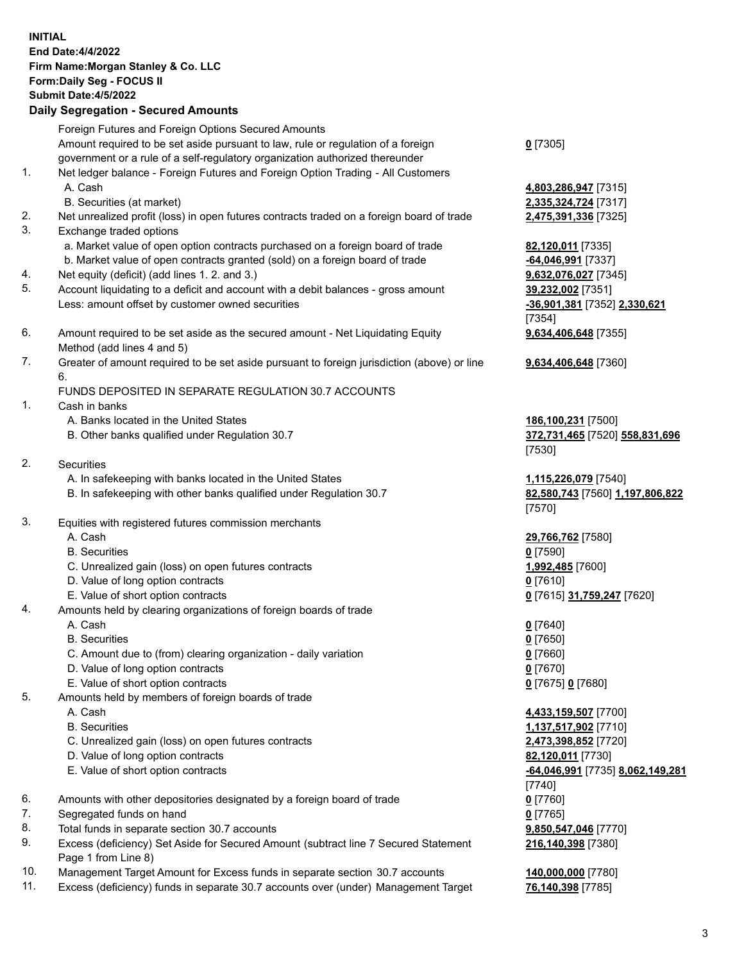|          | <b>INITIAL</b><br><b>End Date:4/4/2022</b><br>Firm Name: Morgan Stanley & Co. LLC<br>Form: Daily Seg - FOCUS II<br><b>Submit Date: 4/5/2022</b><br><b>Daily Segregation - Secured Amounts</b> |                                                                |
|----------|-----------------------------------------------------------------------------------------------------------------------------------------------------------------------------------------------|----------------------------------------------------------------|
|          | Foreign Futures and Foreign Options Secured Amounts                                                                                                                                           |                                                                |
|          | Amount required to be set aside pursuant to law, rule or regulation of a foreign<br>government or a rule of a self-regulatory organization authorized thereunder                              | $0$ [7305]                                                     |
| 1.       | Net ledger balance - Foreign Futures and Foreign Option Trading - All Customers<br>A. Cash                                                                                                    | 4,803,286,947 [7315]                                           |
|          | B. Securities (at market)                                                                                                                                                                     | 2,335,324,724 [7317]                                           |
| 2.<br>3. | Net unrealized profit (loss) in open futures contracts traded on a foreign board of trade<br>Exchange traded options                                                                          | 2,475,391,336 [7325]                                           |
|          | a. Market value of open option contracts purchased on a foreign board of trade                                                                                                                | 82,120,011 [7335]                                              |
|          | b. Market value of open contracts granted (sold) on a foreign board of trade                                                                                                                  | -64,046,991 [7337]                                             |
| 4.<br>5. | Net equity (deficit) (add lines 1. 2. and 3.)                                                                                                                                                 | 9,632,076,027 [7345]                                           |
|          | Account liquidating to a deficit and account with a debit balances - gross amount<br>Less: amount offset by customer owned securities                                                         | 39,232,002 [7351]                                              |
|          |                                                                                                                                                                                               | -36,901,381 [7352] 2,330,621<br>[7354]                         |
| 6.       | Amount required to be set aside as the secured amount - Net Liquidating Equity                                                                                                                | 9,634,406,648 [7355]                                           |
|          | Method (add lines 4 and 5)                                                                                                                                                                    |                                                                |
| 7.       | Greater of amount required to be set aside pursuant to foreign jurisdiction (above) or line                                                                                                   | 9,634,406,648 [7360]                                           |
|          | 6.                                                                                                                                                                                            |                                                                |
| 1.       | FUNDS DEPOSITED IN SEPARATE REGULATION 30.7 ACCOUNTS                                                                                                                                          |                                                                |
|          | Cash in banks<br>A. Banks located in the United States                                                                                                                                        |                                                                |
|          | B. Other banks qualified under Regulation 30.7                                                                                                                                                | 186,100,231 [7500]<br>372,731,465 [7520] 558,831,696<br>[7530] |
| 2.       | Securities                                                                                                                                                                                    |                                                                |
|          | A. In safekeeping with banks located in the United States                                                                                                                                     | 1,115,226,079 [7540]                                           |
|          | B. In safekeeping with other banks qualified under Regulation 30.7                                                                                                                            | 82,580,743 [7560] 1,197,806,822<br>[7570]                      |
| 3.       | Equities with registered futures commission merchants                                                                                                                                         |                                                                |
|          | A. Cash                                                                                                                                                                                       | 29,766,762 [7580]                                              |
|          | <b>B.</b> Securities                                                                                                                                                                          | $0$ [7590]                                                     |
|          | C. Unrealized gain (loss) on open futures contracts                                                                                                                                           | 1,992,485 [7600]                                               |
|          | D. Value of long option contracts                                                                                                                                                             | $0$ [7610]                                                     |
|          | E. Value of short option contracts                                                                                                                                                            | 0 [7615] 31,759,247 [7620]                                     |
| 4.       | Amounts held by clearing organizations of foreign boards of trade                                                                                                                             |                                                                |
|          | A. Cash                                                                                                                                                                                       | $0$ [7640]                                                     |
|          | <b>B.</b> Securities                                                                                                                                                                          | $0$ [7650]                                                     |
|          | C. Amount due to (from) clearing organization - daily variation                                                                                                                               | $0$ [7660]                                                     |
|          | D. Value of long option contracts                                                                                                                                                             | $0$ [7670]                                                     |
| 5.       | E. Value of short option contracts                                                                                                                                                            | 0 [7675] 0 [7680]                                              |
|          | Amounts held by members of foreign boards of trade<br>A. Cash                                                                                                                                 |                                                                |
|          | <b>B.</b> Securities                                                                                                                                                                          | 4,433,159,507 [7700]<br>1,137,517,902 [7710]                   |
|          | C. Unrealized gain (loss) on open futures contracts                                                                                                                                           | 2,473,398,852 [7720]                                           |
|          | D. Value of long option contracts                                                                                                                                                             | 82,120,011 [7730]                                              |
|          | E. Value of short option contracts                                                                                                                                                            | -64,046,991 [7735] 8,062,149,281                               |
|          |                                                                                                                                                                                               | [7740]                                                         |
| 6.       | Amounts with other depositories designated by a foreign board of trade                                                                                                                        | $0$ [7760]                                                     |
| 7.       | Segregated funds on hand                                                                                                                                                                      | $0$ [7765]                                                     |
| 8.       | Total funds in separate section 30.7 accounts                                                                                                                                                 | 9,850,547,046 [7770]                                           |
| 9.       | Excess (deficiency) Set Aside for Secured Amount (subtract line 7 Secured Statement                                                                                                           | 216,140,398 [7380]                                             |
|          | Page 1 from Line 8)                                                                                                                                                                           |                                                                |

- 10. Management Target Amount for Excess funds in separate section 30.7 accounts **140,000,000** [7780]
- 11. Excess (deficiency) funds in separate 30.7 accounts over (under) Management Target **76,140,398** [7785]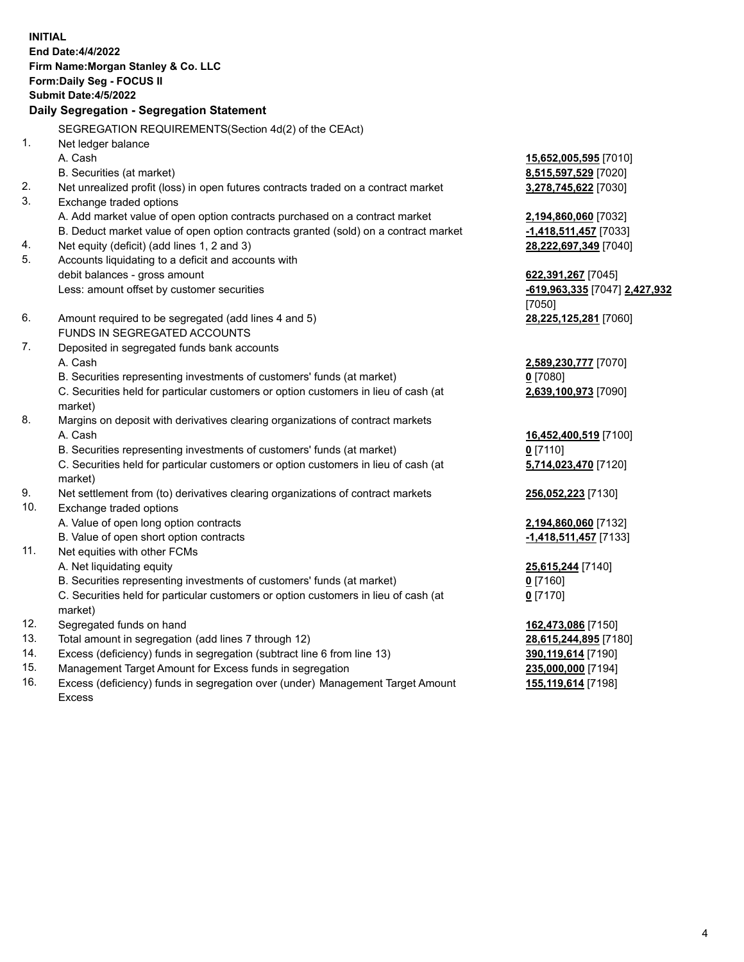| <b>INITIAL</b> | <b>End Date:4/4/2022</b><br>Firm Name: Morgan Stanley & Co. LLC<br>Form: Daily Seg - FOCUS II<br><b>Submit Date: 4/5/2022</b><br>Daily Segregation - Segregation Statement |                                                |
|----------------|----------------------------------------------------------------------------------------------------------------------------------------------------------------------------|------------------------------------------------|
|                | SEGREGATION REQUIREMENTS(Section 4d(2) of the CEAct)                                                                                                                       |                                                |
| 1.             | Net ledger balance                                                                                                                                                         |                                                |
|                | A. Cash                                                                                                                                                                    | 15,652,005,595 [7010]                          |
|                | B. Securities (at market)                                                                                                                                                  | 8,515,597,529 [7020]                           |
| 2.<br>3.       | Net unrealized profit (loss) in open futures contracts traded on a contract market                                                                                         | 3,278,745,622 [7030]                           |
|                | Exchange traded options                                                                                                                                                    |                                                |
|                | A. Add market value of open option contracts purchased on a contract market<br>B. Deduct market value of open option contracts granted (sold) on a contract market         | 2,194,860,060 [7032]                           |
| 4.             | Net equity (deficit) (add lines 1, 2 and 3)                                                                                                                                | -1,418,511,457 [7033]<br>28,222,697,349 [7040] |
| 5.             | Accounts liquidating to a deficit and accounts with                                                                                                                        |                                                |
|                | debit balances - gross amount                                                                                                                                              | 622,391,267 [7045]                             |
|                | Less: amount offset by customer securities                                                                                                                                 | -619,963,335 [7047] 2,427,932                  |
|                |                                                                                                                                                                            | [7050]                                         |
| 6.             | Amount required to be segregated (add lines 4 and 5)                                                                                                                       | 28,225,125,281 [7060]                          |
|                | FUNDS IN SEGREGATED ACCOUNTS                                                                                                                                               |                                                |
| 7.             | Deposited in segregated funds bank accounts                                                                                                                                |                                                |
|                | A. Cash                                                                                                                                                                    | 2,589,230,777 [7070]                           |
|                | B. Securities representing investments of customers' funds (at market)                                                                                                     | $0$ [7080]                                     |
|                | C. Securities held for particular customers or option customers in lieu of cash (at                                                                                        | 2,639,100,973 [7090]                           |
|                | market)                                                                                                                                                                    |                                                |
| 8.             | Margins on deposit with derivatives clearing organizations of contract markets                                                                                             |                                                |
|                | A. Cash                                                                                                                                                                    | 16,452,400,519 [7100]                          |
|                | B. Securities representing investments of customers' funds (at market)                                                                                                     | $0$ [7110]                                     |
|                | C. Securities held for particular customers or option customers in lieu of cash (at<br>market)                                                                             | 5,714,023,470 [7120]                           |
| 9.             | Net settlement from (to) derivatives clearing organizations of contract markets                                                                                            | 256,052,223 [7130]                             |
| 10.            | Exchange traded options                                                                                                                                                    |                                                |
|                | A. Value of open long option contracts                                                                                                                                     | 2,194,860,060 [7132]                           |
|                | B. Value of open short option contracts                                                                                                                                    | -1,418,511,457 [7133]                          |
| 11.            | Net equities with other FCMs                                                                                                                                               |                                                |
|                | A. Net liquidating equity                                                                                                                                                  | 25,615,244 [7140]                              |
|                | B. Securities representing investments of customers' funds (at market)                                                                                                     | $0$ [7160]                                     |
|                | C. Securities held for particular customers or option customers in lieu of cash (at<br>market)                                                                             | $0$ [7170]                                     |
| 12.            | Segregated funds on hand                                                                                                                                                   | 162,473,086 [7150]                             |
| 13.            | Total amount in segregation (add lines 7 through 12)                                                                                                                       | 28,615,244,895 [7180]                          |
| 14.            | Excess (deficiency) funds in segregation (subtract line 6 from line 13)                                                                                                    | 390,119,614 [7190]                             |
| 15.            | Management Target Amount for Excess funds in segregation                                                                                                                   | 235,000,000 [7194]                             |
| 16.            | Excess (deficiency) funds in segregation over (under) Management Target Amount                                                                                             | 155,119,614 [7198]                             |

15. Management Target Amount for Excess funds in segregation<br>16. Excess (deficiency) funds in segregation over (under) Manag Excess (deficiency) funds in segregation over (under) Management Target Amount Excess